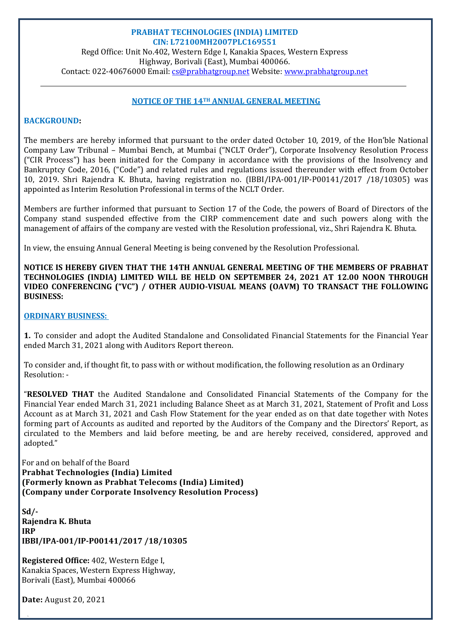### **PRABHAT TECHNOLOGIES (INDIA) LIMITED CIN: L72100MH2007PLC169551**

Regd Office: Unit No.402, Western Edge I, Kanakia Spaces, Western Express Highway, Borivali (East), Mumbai 400066. Contact: 022-40676000 Email: cs@prabhatgroup.net Website: www.prabhatgroup.net

### **NOTICE OF THE 14TH ANNUAL GENERAL MEETING**

#### **BACKGROUND:**

The members are hereby informed that pursuant to the order dated October 10, 2019, of the Hon'ble National Company Law Tribunal - Mumbai Bench, at Mumbai ("NCLT Order"), Corporate Insolvency Resolution Process  $("CIR Process")$  has been initiated for the Company in accordance with the provisions of the Insolvency and Bankruptcy Code, 2016, ("Code") and related rules and regulations issued thereunder with effect from October 10, 2019. Shri Rajendra K. Bhuta, having registration no. (IBBI/IPA-001/IP-P00141/2017 /18/10305) was appointed as Interim Resolution Professional in terms of the NCLT Order.

Members are further informed that pursuant to Section 17 of the Code, the powers of Board of Directors of the Company stand suspended effective from the CIRP commencement date and such powers along with the management of affairs of the company are vested with the Resolution professional, viz., Shri Rajendra K. Bhuta.

In view, the ensuing Annual General Meeting is being convened by the Resolution Professional.

**NOTICE IS HEREBY GIVEN THAT THE 14TH ANNUAL GENERAL MEETING OF THE MEMBERS OF PRABHAT TECHNOLOGIES (INDIA) LIMITED WILL BE HELD ON SEPTEMBER 24, 2021 AT 12.00 NOON THROUGH VIDEO CONFERENCING ("VC") / OTHER AUDIO‐VISUAL MEANS (OAVM) TO TRANSACT THE FOLLOWING BUSINESS:**

#### **ORDINARY BUSINESS:**

1. To consider and adopt the Audited Standalone and Consolidated Financial Statements for the Financial Year ended March 31, 2021 along with Auditors Report thereon.

To consider and, if thought fit, to pass with or without modification, the following resolution as an Ordinary Resolution: -

**"RESOLVED THAT** the Audited Standalone and Consolidated Financial Statements of the Company for the Financial Year ended March 31, 2021 including Balance Sheet as at March 31, 2021, Statement of Profit and Loss Account as at March 31, 2021 and Cash Flow Statement for the year ended as on that date together with Notes forming part of Accounts as audited and reported by the Auditors of the Company and the Directors' Report, as circulated to the Members and laid before meeting, be and are hereby received, considered, approved and adopted." 

For and on behalf of the Board **Prabhat Technologies (India) Limited (Formerly known as Prabhat Telecoms (India) Limited) (Company under Corporate Insolvency Resolution Process)**

**Sd/‐ Rajendra K. Bhuta IRP IBBI/IPA‐001/IP‐P00141/2017 /18/10305**

**Registered Office: 402, Western Edge I,** Kanakia Spaces, Western Express Highway, Borivali (East), Mumbai 400066

**Date:** August 20, 2021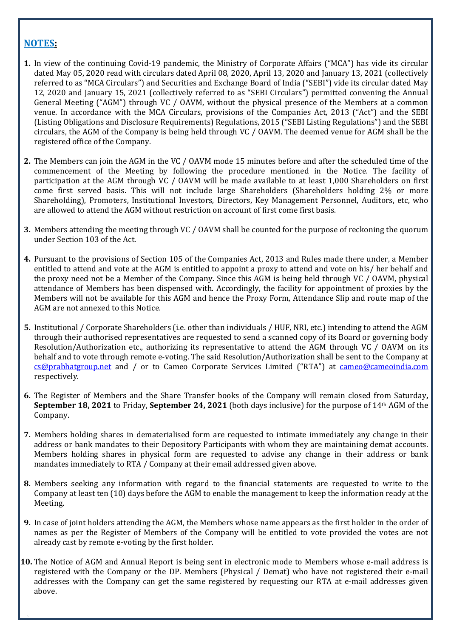# **NOTES:**

- **1.** In view of the continuing Covid-19 pandemic, the Ministry of Corporate Affairs ("MCA") has vide its circular dated May 05, 2020 read with circulars dated April 08, 2020, April 13, 2020 and January 13, 2021 (collectively referred to as "MCA Circulars") and Securities and Exchange Board of India ("SEBI") vide its circular dated May 12, 2020 and January 15, 2021 (collectively referred to as "SEBI Circulars") permitted convening the Annual General Meeting  $(AGM<sup>n</sup>)$  through VC / OAVM, without the physical presence of the Members at a common venue. In accordance with the MCA Circulars, provisions of the Companies Act, 2013 ("Act") and the SEBI (Listing Obligations and Disclosure Requirements) Regulations, 2015 ("SEBI Listing Regulations") and the SEBI circulars, the AGM of the Company is being held through VC /  $OAVM$ . The deemed venue for AGM shall be the registered office of the Company.
- **2.** The Members can join the AGM in the VC / OAVM mode 15 minutes before and after the scheduled time of the commencement of the Meeting by following the procedure mentioned in the Notice. The facility of participation at the AGM through VC / OAVM will be made available to at least 1,000 Shareholders on first come first served basis. This will not include large Shareholders (Shareholders holding 2% or more Shareholding), Promoters, Institutional Investors, Directors, Key Management Personnel, Auditors, etc, who are allowed to attend the AGM without restriction on account of first come first basis.
- **3.** Members attending the meeting through VC / OAVM shall be counted for the purpose of reckoning the quorum under Section 103 of the Act.
- **4.** Pursuant to the provisions of Section 105 of the Companies Act, 2013 and Rules made there under, a Member entitled to attend and vote at the AGM is entitled to appoint a proxy to attend and vote on his/ her behalf and the proxy need not be a Member of the Company. Since this AGM is being held through VC / OAVM, physical attendance of Members has been dispensed with. Accordingly, the facility for appointment of proxies by the Members will not be available for this AGM and hence the Proxy Form, Attendance Slip and route map of the AGM are not annexed to this Notice.
- **5.** Institutional / Corporate Shareholders (i.e. other than individuals / HUF, NRI, etc.) intending to attend the AGM through their authorised representatives are requested to send a scanned copy of its Board or governing body Resolution/Authorization etc., authorizing its representative to attend the AGM through VC / OAVM on its behalf and to vote through remote e-voting. The said Resolution/Authorization shall be sent to the Company at cs@prabhatgroup.net and / or to Cameo Corporate Services Limited ("RTA") at cameo@cameoindia.com respectively.
- **6.** The Register of Members and the Share Transfer books of the Company will remain closed from Saturday, **September 18, 2021** to Friday, **September 24, 2021** (both days inclusive) for the purpose of 14<sup>th</sup> AGM of the Company.
- **7.** Members holding shares in dematerialised form are requested to intimate immediately any change in their address or bank mandates to their Depository Participants with whom they are maintaining demat accounts. Members holding shares in physical form are requested to advise any change in their address or bank mandates immediately to RTA / Company at their email addressed given above.
- **8.** Members seeking any information with regard to the financial statements are requested to write to the Company at least ten (10) days before the AGM to enable the management to keep the information ready at the Meeting.
- **9.** In case of joint holders attending the AGM, the Members whose name appears as the first holder in the order of names as per the Register of Members of the Company will be entitled to vote provided the votes are not already cast by remote e-voting by the first holder.
- **10.** The Notice of AGM and Annual Report is being sent in electronic mode to Members whose e-mail address is registered with the Company or the DP. Members (Physical / Demat) who have not registered their e-mail addresses with the Company can get the same registered by requesting our RTA at e-mail addresses given above.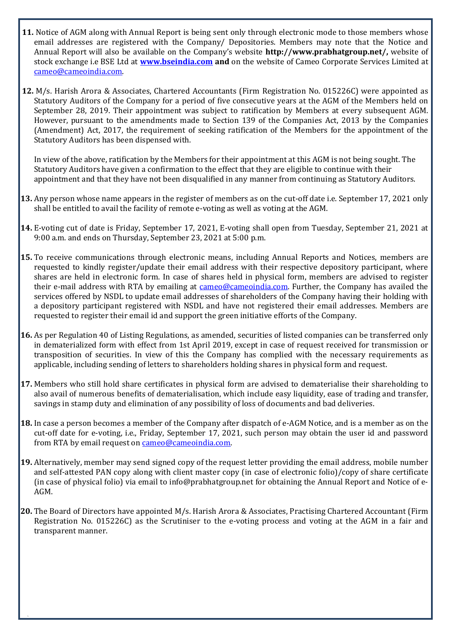- **11.** Notice of AGM along with Annual Report is being sent only through electronic mode to those members whose email addresses are registered with the Company/ Depositories. Members may note that the Notice and Annual Report will also be available on the Company's website **http://www.prabhatgroup.net/,** website of stock exchange i.e BSE Ltd at **www.bseindia.com** and on the website of Cameo Corporate Services Limited at cameo@cameoindia.com.
- **12.** M/s. Harish Arora & Associates, Chartered Accountants (Firm Registration No. 015226C) were appointed as Statutory Auditors of the Company for a period of five consecutive years at the AGM of the Members held on September 28, 2019. Their appointment was subject to ratification by Members at every subsequent AGM. However, pursuant to the amendments made to Section 139 of the Companies Act, 2013 by the Companies (Amendment) Act, 2017, the requirement of seeking ratification of the Members for the appointment of the Statutory Auditors has been dispensed with.

In view of the above, ratification by the Members for their appointment at this AGM is not being sought. The Statutory Auditors have given a confirmation to the effect that they are eligible to continue with their appointment and that they have not been disqualified in any manner from continuing as Statutory Auditors.

- **13.** Any person whose name appears in the register of members as on the cut-off date i.e. September 17, 2021 only shall be entitled to avail the facility of remote e-voting as well as voting at the AGM.
- **14.** E-voting cut of date is Friday, September 17, 2021, E-voting shall open from Tuesday, September 21, 2021 at 9:00 a.m. and ends on Thursday, September 23, 2021 at 5:00 p.m.
- **15.** To receive communications through electronic means, including Annual Reports and Notices, members are requested to kindly register/update their email address with their respective depository participant, where shares are held in electronic form. In case of shares held in physical form, members are advised to register their e-mail address with RTA by emailing at  $\alpha$  cameo@cameoindia.com. Further, the Company has availed the services offered by NSDL to update email addresses of shareholders of the Company having their holding with a depository participant registered with NSDL and have not registered their email addresses. Members are requested to register their email id and support the green initiative efforts of the Company.
- **16.** As per Regulation 40 of Listing Regulations, as amended, securities of listed companies can be transferred only in dematerialized form with effect from 1st April 2019, except in case of request received for transmission or transposition of securities. In view of this the Company has complied with the necessary requirements as applicable, including sending of letters to shareholders holding shares in physical form and request.
- **17.** Members who still hold share certificates in physical form are advised to dematerialise their shareholding to also avail of numerous benefits of dematerialisation, which include easy liquidity, ease of trading and transfer, savings in stamp duty and elimination of any possibility of loss of documents and bad deliveries.
- **18.** In case a person becomes a member of the Company after dispatch of e-AGM Notice, and is a member as on the cut-off date for e-voting, i.e., Friday, September 17, 2021, such person may obtain the user id and password from RTA by email request on cameo@cameoindia.com.
- **19.** Alternatively, member may send signed copy of the request letter providing the email address, mobile number and self-attested PAN copy along with client master copy (in case of electronic folio)/copy of share certificate (in case of physical folio) via email to info@prabhatgroup.net for obtaining the Annual Report and Notice of e-AGM.
- **20.** The Board of Directors have appointed M/s. Harish Arora & Associates, Practising Chartered Accountant (Firm Registration No.  $015226C$ ) as the Scrutiniser to the e-voting process and voting at the AGM in a fair and transparent manner.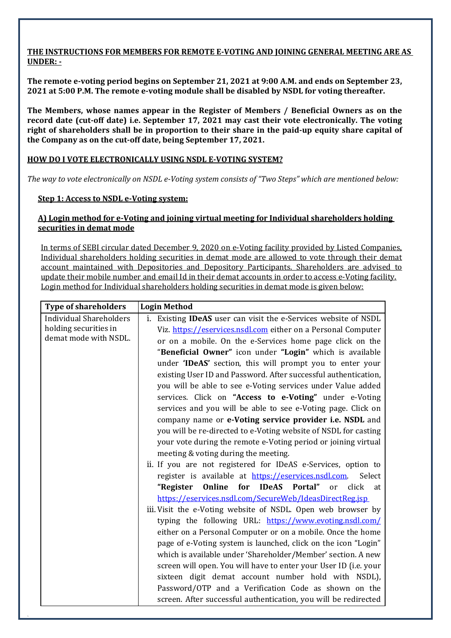### **THE INSTRUCTIONS FOR MEMBERS FOR REMOTE E‐VOTING AND JOINING GENERAL MEETING ARE AS UNDER:**

The remote e-voting period begins on September 21, 2021 at 9:00 A.M. and ends on September 23, 2021 at 5:00 P.M. The remote e-voting module shall be disabled by NSDL for voting thereafter.

**The Members, whose names appear in the Register of Members / Beneficial Owners as on the record date (cut‐off date) i.e. September 17, 2021 may cast their vote electronically. The voting** right of shareholders shall be in proportion to their share in the paid-up equity share capital of **the Company as on the cut‐off date, being September 17, 2021.**

# **HOW DO I VOTE ELECTRONICALLY USING NSDL E‐VOTING SYSTEM?**

The way to vote electronically on NSDL e-Voting system consists of "Two Steps" which are mentioned below:

## **Step 1: Access to NSDL e‐Voting system:**

## **A) Login method for e‐Voting and joining virtual meeting for Individual shareholders holding securities in demat mode**

In terms of SEBI circular dated December 9, 2020 on e-Voting facility provided by Listed Companies, Individual shareholders holding securities in demat mode are allowed to vote through their demat account maintained with Depositories and Depository Participants. Shareholders are advised to update their mobile number and email Id in their demat accounts in order to access e-Voting facility. Login method for Individual shareholders holding securities in demat mode is given below:

| <b>Type of shareholders</b>                                                      | <b>Login Method</b>                                                                                                                                                                                                                                                                                                                                                                                                                                                                                                                                                                                                                                                                                                                                                                                                                                                                                                                                                                                                                                                                                                                                                                                                                                                                                                                                      |
|----------------------------------------------------------------------------------|----------------------------------------------------------------------------------------------------------------------------------------------------------------------------------------------------------------------------------------------------------------------------------------------------------------------------------------------------------------------------------------------------------------------------------------------------------------------------------------------------------------------------------------------------------------------------------------------------------------------------------------------------------------------------------------------------------------------------------------------------------------------------------------------------------------------------------------------------------------------------------------------------------------------------------------------------------------------------------------------------------------------------------------------------------------------------------------------------------------------------------------------------------------------------------------------------------------------------------------------------------------------------------------------------------------------------------------------------------|
| <b>Individual Shareholders</b><br>holding securities in<br>demat mode with NSDL. | i. Existing <b>IDeAS</b> user can visit the e-Services website of NSDL<br>Viz. https://eservices.nsdl.com either on a Personal Computer<br>or on a mobile. On the e-Services home page click on the<br>"Beneficial Owner" icon under "Login" which is available<br>under 'IDeAS' section, this will prompt you to enter your<br>existing User ID and Password. After successful authentication,<br>you will be able to see e-Voting services under Value added<br>services. Click on "Access to e-Voting" under e-Voting<br>services and you will be able to see e-Voting page. Click on<br>company name or e-Voting service provider i.e. NSDL and<br>you will be re-directed to e-Voting website of NSDL for casting<br>your vote during the remote e-Voting period or joining virtual<br>meeting & voting during the meeting.<br>ii. If you are not registered for IDeAS e-Services, option to<br>register is available at https://eservices.nsdl.com.<br>Select<br>for IDeAS Portal" or<br>Online<br>click<br>"Register<br>at<br>https://eservices.nsdl.com/SecureWeb/IdeasDirectReg.jsp<br>iii. Visit the e-Voting website of NSDL. Open web browser by<br>typing the following URL: https://www.evoting.nsdl.com/<br>either on a Personal Computer or on a mobile. Once the home<br>page of e-Voting system is launched, click on the icon "Login" |
|                                                                                  | which is available under 'Shareholder/Member' section. A new                                                                                                                                                                                                                                                                                                                                                                                                                                                                                                                                                                                                                                                                                                                                                                                                                                                                                                                                                                                                                                                                                                                                                                                                                                                                                             |
|                                                                                  | screen will open. You will have to enter your User ID (i.e. your                                                                                                                                                                                                                                                                                                                                                                                                                                                                                                                                                                                                                                                                                                                                                                                                                                                                                                                                                                                                                                                                                                                                                                                                                                                                                         |
|                                                                                  | sixteen digit demat account number hold with NSDL),<br>Password/OTP and a Verification Code as shown on the<br>screen. After successful authentication, you will be redirected                                                                                                                                                                                                                                                                                                                                                                                                                                                                                                                                                                                                                                                                                                                                                                                                                                                                                                                                                                                                                                                                                                                                                                           |
|                                                                                  |                                                                                                                                                                                                                                                                                                                                                                                                                                                                                                                                                                                                                                                                                                                                                                                                                                                                                                                                                                                                                                                                                                                                                                                                                                                                                                                                                          |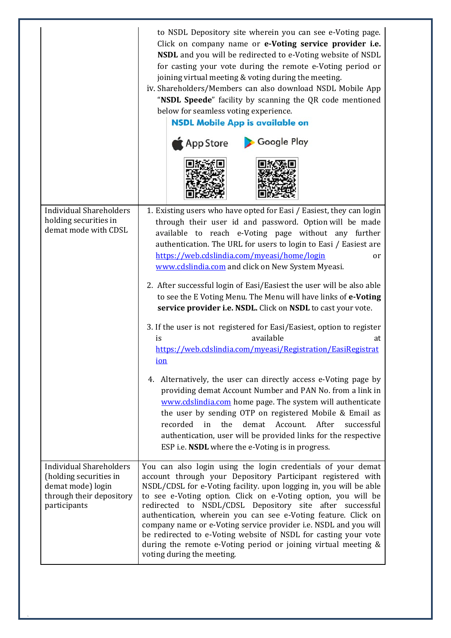| <b>Individual Shareholders</b>                                                                                            | to NSDL Depository site wherein you can see e-Voting page.<br>Click on company name or e-Voting service provider i.e.<br>NSDL and you will be redirected to e-Voting website of NSDL<br>for casting your vote during the remote e-Voting period or<br>joining virtual meeting & voting during the meeting.<br>iv. Shareholders/Members can also download NSDL Mobile App<br>"NSDL Speede" facility by scanning the QR code mentioned<br>below for seamless voting experience.<br><b>NSDL Mobile App is available on</b><br>Google Play<br>App Store<br>1. Existing users who have opted for Easi / Easiest, they can login                                                                        |
|---------------------------------------------------------------------------------------------------------------------------|---------------------------------------------------------------------------------------------------------------------------------------------------------------------------------------------------------------------------------------------------------------------------------------------------------------------------------------------------------------------------------------------------------------------------------------------------------------------------------------------------------------------------------------------------------------------------------------------------------------------------------------------------------------------------------------------------|
| holding securities in<br>demat mode with CDSL                                                                             | through their user id and password. Option will be made<br>available to reach e-Voting page without any further<br>authentication. The URL for users to login to Easi / Easiest are<br>https://web.cdslindia.com/myeasi/home/login<br><sub>or</sub><br>www.cdslindia.com and click on New System Myeasi.<br>2. After successful login of Easi/Easiest the user will be also able<br>to see the E Voting Menu. The Menu will have links of e-Voting<br>service provider i.e. NSDL. Click on NSDL to cast your vote.<br>3. If the user is not registered for Easi/Easiest, option to register<br>available<br>is<br>at<br>https://web.cdslindia.com/myeasi/Registration/EasiRegistrat<br><u>ion</u> |
|                                                                                                                           | 4. Alternatively, the user can directly access e-Voting page by<br>providing demat Account Number and PAN No. from a link in<br>www.cdslindia.com home page. The system will authenticate<br>the user by sending OTP on registered Mobile & Email as<br>recorded in<br>the<br>demat<br>Account.<br>After successful<br>authentication, user will be provided links for the respective<br>ESP i.e. <b>NSDL</b> where the e-Voting is in progress.                                                                                                                                                                                                                                                  |
| <b>Individual Shareholders</b><br>(holding securities in<br>demat mode) login<br>through their depository<br>participants | You can also login using the login credentials of your demat<br>account through your Depository Participant registered with<br>NSDL/CDSL for e-Voting facility. upon logging in, you will be able<br>to see e-Voting option. Click on e-Voting option, you will be<br>redirected to NSDL/CDSL Depository site after successful<br>authentication, wherein you can see e-Voting feature. Click on<br>company name or e-Voting service provider i.e. NSDL and you will<br>be redirected to e-Voting website of NSDL for casting your vote<br>during the remote e-Voting period or joining virtual meeting &<br>voting during the meeting.                                                           |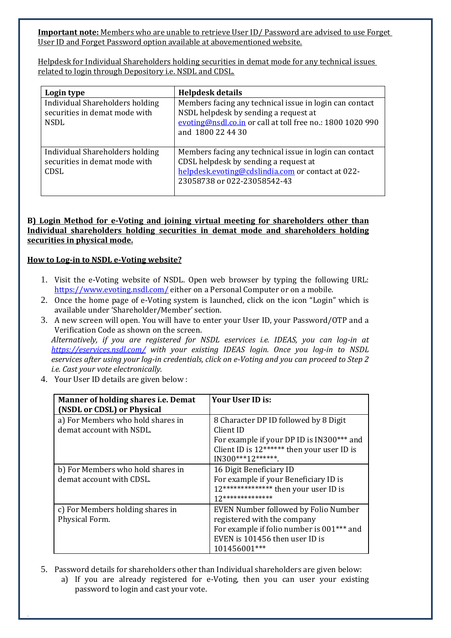**Important note:** Members who are unable to retrieve User ID/ Password are advised to use Forget User ID and Forget Password option available at abovementioned website.

Helpdesk for Individual Shareholders holding securities in demat mode for any technical issues related to login through Depository i.e. NSDL and CDSL.

| Login type                                                                      | <b>Helpdesk details</b>                                                                                                                                                              |
|---------------------------------------------------------------------------------|--------------------------------------------------------------------------------------------------------------------------------------------------------------------------------------|
| Individual Shareholders holding<br>securities in demat mode with<br><b>NSDL</b> | Members facing any technical issue in login can contact<br>NSDL helpdesk by sending a request at<br>evoting@nsdl.co.in or call at toll free no.: 1800 1020 990<br>and 1800 22 44 30  |
| Individual Shareholders holding<br>securities in demat mode with<br><b>CDSL</b> | Members facing any technical issue in login can contact<br>CDSL helpdesk by sending a request at<br>helpdesk.evoting@cdslindia.com or contact at 022-<br>23058738 or 022-23058542-43 |

#### **B) Login Method for e‐Voting and joining virtual meeting for shareholders other than Individual shareholders holding securities in demat mode and shareholders holding securities in physical mode.**

## **How to Log‐in to NSDL e‐Voting website?**

- 1. Visit the e-Voting website of NSDL. Open web browser by typing the following URL: https://www.evoting.nsdl.com/ either on a Personal Computer or on a mobile.
- 2. Once the home page of e-Voting system is launched, click on the icon "Login" which is available under 'Shareholder/Member' section.
- 3. A new screen will open. You will have to enter your User ID, your Password/OTP and a Verification Code as shown on the screen.

*Alternatively, if you are registered for NSDL eservices i.e. IDEAS, you can log‐in at https://eservices.nsdl.com/ with your existing IDEAS login. Once you log‐in to NSDL* eservices after using your log-in credentials, click on e-Voting and you can proceed to Step 2 *i.e. Cast your vote electronically.*

4. Your User ID details are given below :

| Manner of holding shares <i>i.e.</i> Demat<br>(NSDL or CDSL) or Physical | Your User ID is:                                                                                                                                                   |
|--------------------------------------------------------------------------|--------------------------------------------------------------------------------------------------------------------------------------------------------------------|
| a) For Members who hold shares in<br>demat account with NSDL.            | 8 Character DP ID followed by 8 Digit<br>Client ID<br>For example if your DP ID is IN300*** and<br>Client ID is 12****** then your user ID is<br>IN300***12******* |
| b) For Members who hold shares in<br>demat account with CDSL.            | 16 Digit Beneficiary ID<br>For example if your Beneficiary ID is<br>12************** then your user ID is<br>12 **************                                     |
| c) For Members holding shares in<br>Physical Form.                       | EVEN Number followed by Folio Number<br>registered with the company<br>For example if folio number is 001*** and<br>EVEN is 101456 then user ID is<br>101456001*** |

5. Password details for shareholders other than Individual shareholders are given below: a) If you are already registered for e-Voting, then you can user your existing password to login and cast your vote.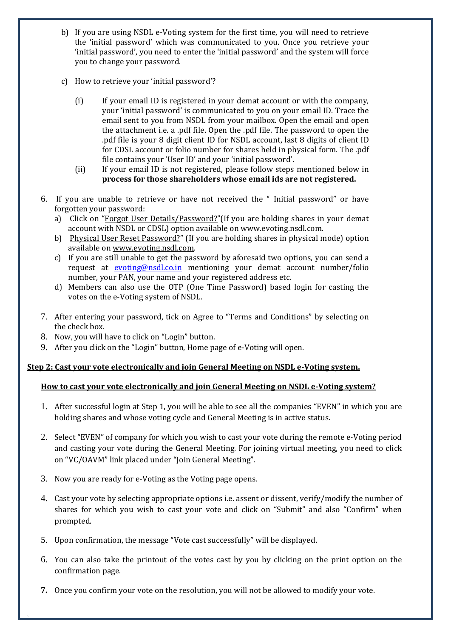- b) If you are using NSDL e-Voting system for the first time, you will need to retrieve the 'initial password' which was communicated to you. Once you retrieve your 'initial password', you need to enter the 'initial password' and the system will force you to change your password.
- c) How to retrieve your 'initial password'?
	- (i) If your email ID is registered in your demat account or with the company, your 'initial password' is communicated to you on your email ID. Trace the email sent to you from NSDL from your mailbox. Open the email and open the attachment i.e. a .pdf file. Open the .pdf file. The password to open the .pdf file is your 8 digit client ID for NSDL account, last 8 digits of client ID for CDSL account or folio number for shares held in physical form. The .pdf file contains your 'User ID' and your 'initial password'.
	- (ii) If your email ID is not registered, please follow steps mentioned below in **process for those shareholders whose email ids are not registered.**
- 6. If you are unable to retrieve or have not received the " Initial password" or have forgotten your password:
	- a) Click on "Forgot User Details/Password?"(If you are holding shares in your demat account with NSDL or CDSL) option available on www.evoting.nsdl.com.
	- b) Physical User Reset Password?" (If you are holding shares in physical mode) option available on www.evoting.nsdl.com.
	- c) If you are still unable to get the password by aforesaid two options, you can send a request at **evoting@nsdl.co.in** mentioning your demat account number/folio number, your PAN, your name and your registered address etc.
	- d) Members can also use the OTP (One Time Password) based login for casting the votes on the e-Voting system of NSDL.
- 7. After entering your password, tick on Agree to "Terms and Conditions" by selecting on the check box.
- 8. Now, you will have to click on "Login" button.
- 9. After you click on the "Login" button, Home page of e-Voting will open.

## **Step 2: Cast your vote electronically and join General Meeting on NSDL e‐Voting system.**

## **How to cast your vote electronically and join General Meeting on NSDL e‐Voting system?**

- 1. After successful login at Step 1, you will be able to see all the companies "EVEN" in which you are holding shares and whose voting cycle and General Meeting is in active status.
- 2. Select "EVEN" of company for which you wish to cast your vote during the remote e-Voting period and casting your vote during the General Meeting. For joining virtual meeting, you need to click on "VC/OAVM" link placed under "Join General Meeting".
- 3. Now you are ready for e-Voting as the Voting page opens.
- 4. Cast your vote by selecting appropriate options i.e. assent or dissent, verify/modify the number of shares for which you wish to cast your vote and click on "Submit" and also "Confirm" when prompted.
- 5. Upon confirmation, the message "Vote cast successfully" will be displayed.
- 6. You can also take the printout of the votes cast by you by clicking on the print option on the confirmation page.
- **7.** Once you confirm your vote on the resolution, you will not be allowed to modify your vote.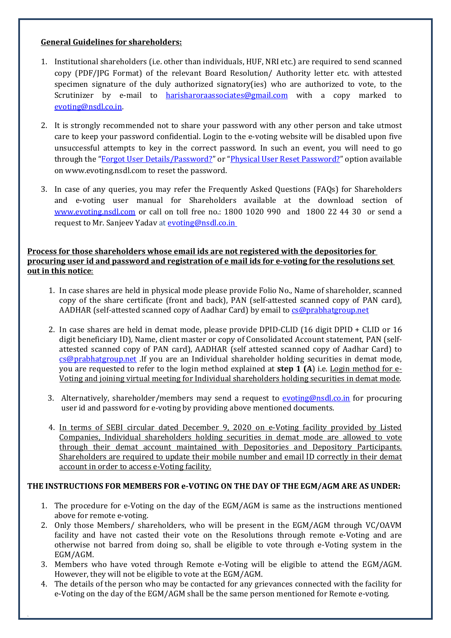## **General Guidelines for shareholders:**

- 1. Institutional shareholders (i.e. other than individuals, HUF, NRI etc.) are required to send scanned copy (PDF/IPG Format) of the relevant Board Resolution/ Authority letter etc. with attested specimen signature of the duly authorized signatory(ies) who are authorized to vote, to the Scrutinizer by e-mail to **harisharoraassociates@gmail.com** with a copy marked to evoting@nsdl.co.in.
- 2. It is strongly recommended not to share your password with any other person and take utmost care to keep your password confidential. Login to the e-voting website will be disabled upon five unsuccessful attempts to key in the correct password. In such an event, you will need to go through the "Forgot User Details/Password?" or "Physical User Reset Password?" option available on www.evoting.nsdl.com to reset the password.
- 3. In case of any queries, you may refer the Frequently Asked Questions (FAQs) for Shareholders and e-voting user manual for Shareholders available at the download section of www.evoting.nsdl.com or call on toll free no.: 1800 1020 990 and 1800 22 44 30 or send a request to Mr. Sanjeev Yadav at evoting@nsdl.co.in

## **Process for those shareholders whose email ids are not registered with the depositories for** procuring user id and password and registration of e mail ids for e-voting for the resolutions set **out in this notice**:

- 1. In case shares are held in physical mode please provide Folio No., Name of shareholder, scanned copy of the share certificate (front and back), PAN (self-attested scanned copy of PAN card), AADHAR (self-attested scanned copy of Aadhar Card) by email to cs@prabhatgroup.net
- 2. In case shares are held in demat mode, please provide  $DPID$ -CLID  $(16$  digit  $DPID + CLID$  or  $16$ digit beneficiary ID), Name, client master or copy of Consolidated Account statement, PAN (selfattested scanned copy of PAN card), AADHAR (self attested scanned copy of Aadhar Card) to  $cs@prabhatgroup.net$  .If you are an Individual shareholder holding securities in demat mode, you are requested to refer to the login method explained at **step 1 (A)** i.e. Login method for e-<u>Voting and joining virtual meeting for Individual shareholders holding securities in demat mode.</u>
- 3. Alternatively, shareholder/members may send a request to evoting@nsdl.co.in for procuring user id and password for e-voting by providing above mentioned documents.
- 4. In terms of SEBI circular dated December 9, 2020 on e-Voting facility provided by Listed Companies, Individual shareholders holding securities in demat mode are allowed to vote through their demat account maintained with Depositories and Depository Participants. Shareholders are required to update their mobile number and email ID correctly in their demat account in order to access e-Voting facility.

## **THE INSTRUCTIONS FOR MEMBERS FOR e‐VOTING ON THE DAY OF THE EGM/AGM ARE AS UNDER:**

- 1. The procedure for e-Voting on the day of the EGM/AGM is same as the instructions mentioned above for remote e-voting.
- 2. Only those Members/ shareholders, who will be present in the EGM/AGM through VC/OAVM facility and have not casted their vote on the Resolutions through remote e-Voting and are otherwise not barred from doing so, shall be eligible to vote through e-Voting system in the EGM/AGM.
- 3. Members who have voted through Remote e-Voting will be eligible to attend the EGM/AGM. However, they will not be eligible to vote at the EGM/AGM.
- 4. The details of the person who may be contacted for any grievances connected with the facility for e-Voting on the day of the EGM/AGM shall be the same person mentioned for Remote e-voting.